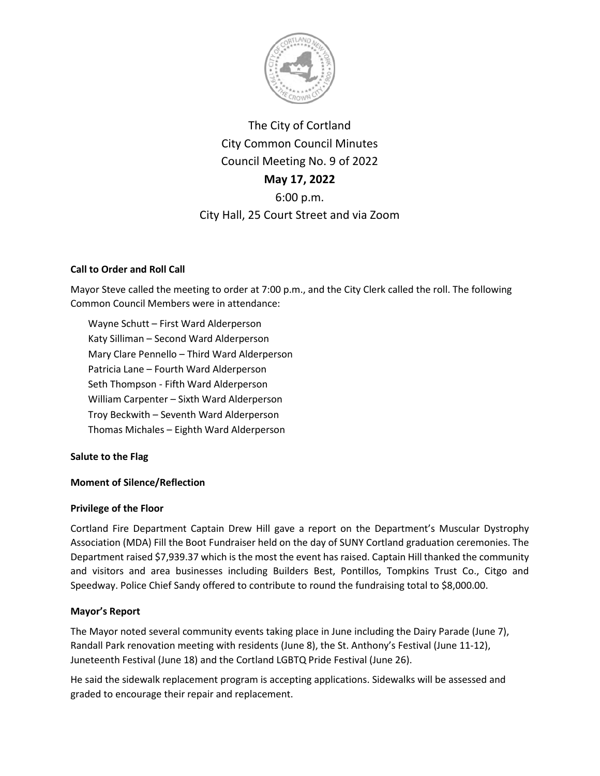

The City of Cortland City Common Council Minutes Council Meeting No. 9 of 2022 **May 17, 2022** 6:00 p.m. City Hall, 25 Court Street and via Zoom

# **Call to Order and Roll Call**

Mayor Steve called the meeting to order at 7:00 p.m., and the City Clerk called the roll. The following Common Council Members were in attendance:

Wayne Schutt – First Ward Alderperson Katy Silliman – Second Ward Alderperson Mary Clare Pennello – Third Ward Alderperson Patricia Lane – Fourth Ward Alderperson Seth Thompson - Fifth Ward Alderperson William Carpenter – Sixth Ward Alderperson Troy Beckwith – Seventh Ward Alderperson Thomas Michales – Eighth Ward Alderperson

**Salute to the Flag**

# **Moment of Silence/Reflection**

## **Privilege of the Floor**

Cortland Fire Department Captain Drew Hill gave a report on the Department's Muscular Dystrophy Association (MDA) Fill the Boot Fundraiser held on the day of SUNY Cortland graduation ceremonies. The Department raised \$7,939.37 which is the most the event has raised. Captain Hill thanked the community and visitors and area businesses including Builders Best, Pontillos, Tompkins Trust Co., Citgo and Speedway. Police Chief Sandy offered to contribute to round the fundraising total to \$8,000.00.

# **Mayor's Report**

The Mayor noted several community events taking place in June including the Dairy Parade (June 7), Randall Park renovation meeting with residents (June 8), the St. Anthony's Festival (June 11-12), Juneteenth Festival (June 18) and the Cortland LGBTQ Pride Festival (June 26).

He said the sidewalk replacement program is accepting applications. Sidewalks will be assessed and graded to encourage their repair and replacement.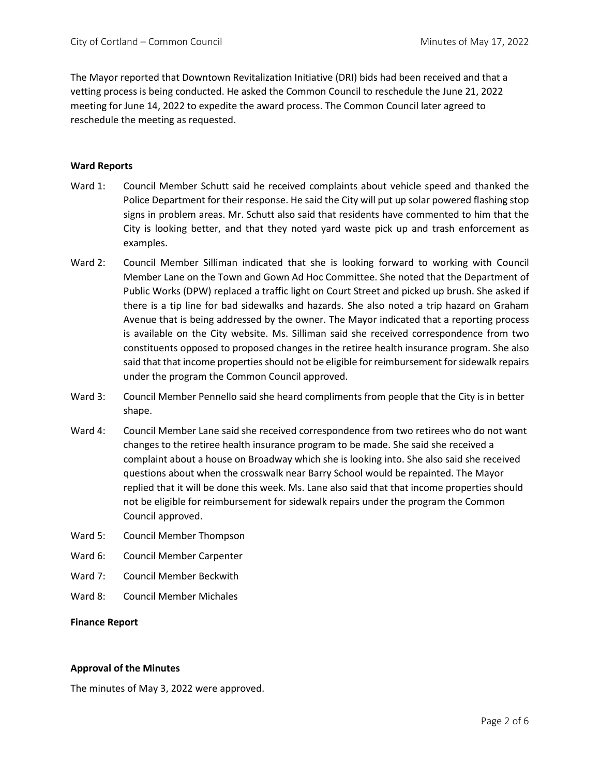The Mayor reported that Downtown Revitalization Initiative (DRI) bids had been received and that a vetting process is being conducted. He asked the Common Council to reschedule the June 21, 2022 meeting for June 14, 2022 to expedite the award process. The Common Council later agreed to reschedule the meeting as requested.

### **Ward Reports**

- Ward 1: Council Member Schutt said he received complaints about vehicle speed and thanked the Police Department for their response. He said the City will put up solar powered flashing stop signs in problem areas. Mr. Schutt also said that residents have commented to him that the City is looking better, and that they noted yard waste pick up and trash enforcement as examples.
- Ward 2: Council Member Silliman indicated that she is looking forward to working with Council Member Lane on the Town and Gown Ad Hoc Committee. She noted that the Department of Public Works (DPW) replaced a traffic light on Court Street and picked up brush. She asked if there is a tip line for bad sidewalks and hazards. She also noted a trip hazard on Graham Avenue that is being addressed by the owner. The Mayor indicated that a reporting process is available on the City website. Ms. Silliman said she received correspondence from two constituents opposed to proposed changes in the retiree health insurance program. She also said that that income properties should not be eligible for reimbursement for sidewalk repairs under the program the Common Council approved.
- Ward 3: Council Member Pennello said she heard compliments from people that the City is in better shape.
- Ward 4: Council Member Lane said she received correspondence from two retirees who do not want changes to the retiree health insurance program to be made. She said she received a complaint about a house on Broadway which she is looking into. She also said she received questions about when the crosswalk near Barry School would be repainted. The Mayor replied that it will be done this week. Ms. Lane also said that that income properties should not be eligible for reimbursement for sidewalk repairs under the program the Common Council approved.
- Ward 5: Council Member Thompson
- Ward 6: Council Member Carpenter
- Ward 7: Council Member Beckwith
- Ward 8: Council Member Michales

### **Finance Report**

### **Approval of the Minutes**

The minutes of May 3, 2022 were approved.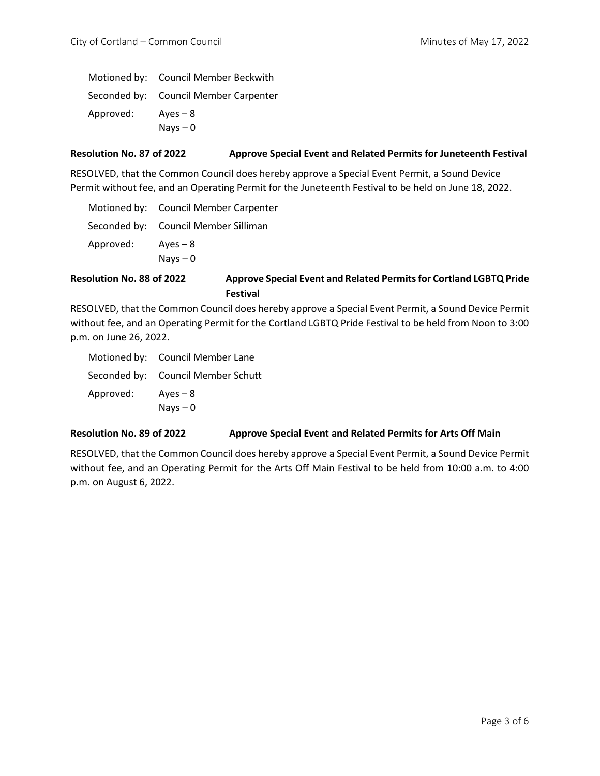|           | Motioned by: Council Member Beckwith  |
|-----------|---------------------------------------|
|           | Seconded by: Council Member Carpenter |
| Approved: | $Aves - 8$                            |
|           | Nays $-0$                             |

## **Resolution No. 87 of 2022 Approve Special Event and Related Permits for Juneteenth Festival**

RESOLVED, that the Common Council does hereby approve a Special Event Permit, a Sound Device Permit without fee, and an Operating Permit for the Juneteenth Festival to be held on June 18, 2022.

|           | Motioned by: Council Member Carpenter |
|-----------|---------------------------------------|
|           | Seconded by: Council Member Silliman  |
| Approved: | Aves – $8$                            |
|           | $Nays - 0$                            |

# **Resolution No. 88 of 2022 Approve Special Event and Related Permits for Cortland LGBTQ Pride Festival**

RESOLVED, that the Common Council does hereby approve a Special Event Permit, a Sound Device Permit without fee, and an Operating Permit for the Cortland LGBTQ Pride Festival to be held from Noon to 3:00 p.m. on June 26, 2022.

|           | Motioned by: Council Member Lane   |
|-----------|------------------------------------|
|           | Seconded by: Council Member Schutt |
| Approved: | $Aves - 8$                         |
|           | $Nays - 0$                         |

## **Resolution No. 89 of 2022 Approve Special Event and Related Permits for Arts Off Main**

RESOLVED, that the Common Council does hereby approve a Special Event Permit, a Sound Device Permit without fee, and an Operating Permit for the Arts Off Main Festival to be held from 10:00 a.m. to 4:00 p.m. on August 6, 2022.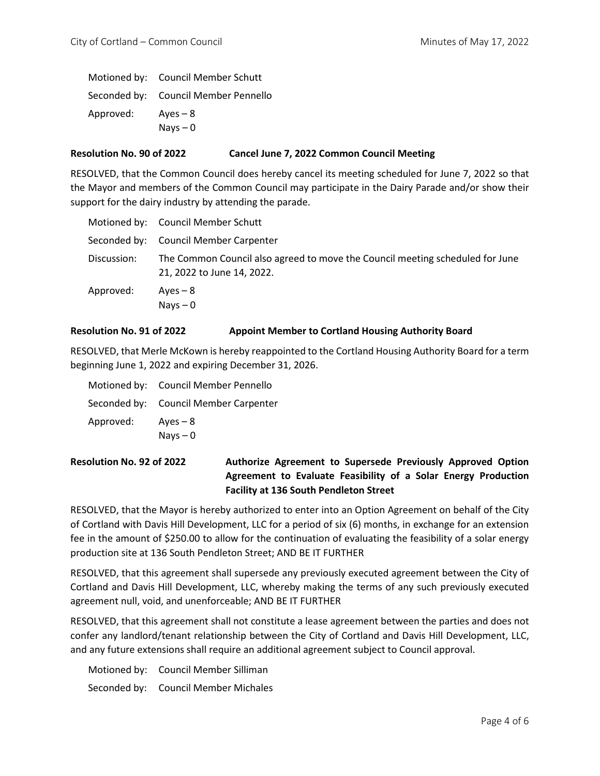Motioned by: Council Member Schutt Seconded by: Council Member Pennello Approved: Ayes – 8 Nays – 0

## **Resolution No. 90 of 2022 Cancel June 7, 2022 Common Council Meeting**

RESOLVED, that the Common Council does hereby cancel its meeting scheduled for June 7, 2022 so that the Mayor and members of the Common Council may participate in the Dairy Parade and/or show their support for the dairy industry by attending the parade.

|             | Motioned by: Council Member Schutt                                                                          |
|-------------|-------------------------------------------------------------------------------------------------------------|
|             | Seconded by: Council Member Carpenter                                                                       |
| Discussion: | The Common Council also agreed to move the Council meeting scheduled for June<br>21, 2022 to June 14, 2022. |
| Approved:   | $Aves - 8$<br>Nays $-0$                                                                                     |

## **Resolution No. 91 of 2022 Appoint Member to Cortland Housing Authority Board**

RESOLVED, that Merle McKown is hereby reappointed to the Cortland Housing Authority Board for a term beginning June 1, 2022 and expiring December 31, 2026.

|           | Motioned by: Council Member Pennello  |
|-----------|---------------------------------------|
|           | Seconded by: Council Member Carpenter |
| Approved: | $Aves - 8$                            |
|           | $Nays - 0$                            |

**Resolution No. 92 of 2022 Authorize Agreement to Supersede Previously Approved Option Agreement to Evaluate Feasibility of a Solar Energy Production Facility at 136 South Pendleton Street**

RESOLVED, that the Mayor is hereby authorized to enter into an Option Agreement on behalf of the City of Cortland with Davis Hill Development, LLC for a period of six (6) months, in exchange for an extension fee in the amount of \$250.00 to allow for the continuation of evaluating the feasibility of a solar energy production site at 136 South Pendleton Street; AND BE IT FURTHER

RESOLVED, that this agreement shall supersede any previously executed agreement between the City of Cortland and Davis Hill Development, LLC, whereby making the terms of any such previously executed agreement null, void, and unenforceable; AND BE IT FURTHER

RESOLVED, that this agreement shall not constitute a lease agreement between the parties and does not confer any landlord/tenant relationship between the City of Cortland and Davis Hill Development, LLC, and any future extensions shall require an additional agreement subject to Council approval.

Motioned by: Council Member Silliman Seconded by: Council Member Michales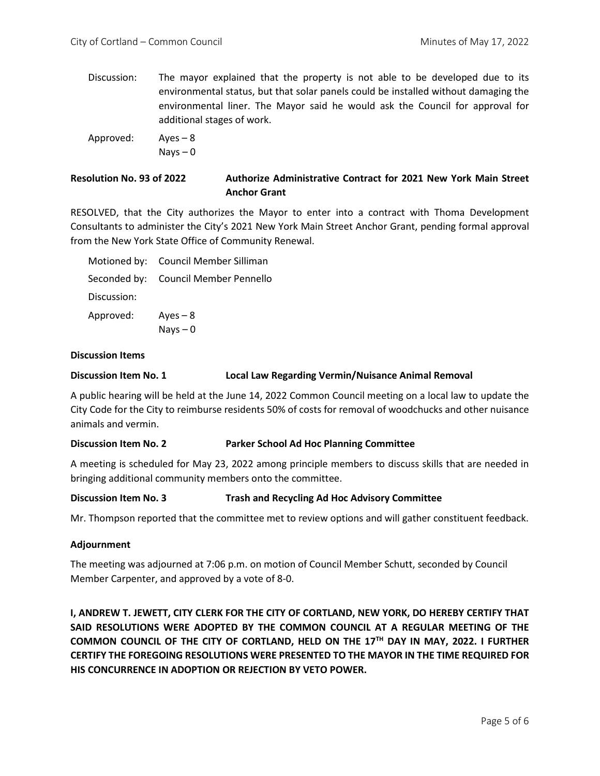Discussion: The mayor explained that the property is not able to be developed due to its environmental status, but that solar panels could be installed without damaging the environmental liner. The Mayor said he would ask the Council for approval for additional stages of work.

Approved: Ayes – 8

 $Nays - 0$ 

# **Resolution No. 93 of 2022 Authorize Administrative Contract for 2021 New York Main Street Anchor Grant**

RESOLVED, that the City authorizes the Mayor to enter into a contract with Thoma Development Consultants to administer the City's 2021 New York Main Street Anchor Grant, pending formal approval from the New York State Office of Community Renewal.

|             | Motioned by: Council Member Silliman |
|-------------|--------------------------------------|
|             | Seconded by: Council Member Pennello |
| Discussion: |                                      |
| Approved:   | $Aves - 8$                           |
|             | $Nays - 0$                           |

## **Discussion Items**

### **Discussion Item No. 1 Local Law Regarding Vermin/Nuisance Animal Removal**

A public hearing will be held at the June 14, 2022 Common Council meeting on a local law to update the City Code for the City to reimburse residents 50% of costs for removal of woodchucks and other nuisance animals and vermin.

### **Discussion Item No. 2 Parker School Ad Hoc Planning Committee**

A meeting is scheduled for May 23, 2022 among principle members to discuss skills that are needed in bringing additional community members onto the committee.

### **Discussion Item No. 3 Trash and Recycling Ad Hoc Advisory Committee**

Mr. Thompson reported that the committee met to review options and will gather constituent feedback.

### **Adjournment**

The meeting was adjourned at 7:06 p.m. on motion of Council Member Schutt, seconded by Council Member Carpenter, and approved by a vote of 8-0.

**I, ANDREW T. JEWETT, CITY CLERK FOR THE CITY OF CORTLAND, NEW YORK, DO HEREBY CERTIFY THAT SAID RESOLUTIONS WERE ADOPTED BY THE COMMON COUNCIL AT A REGULAR MEETING OF THE COMMON COUNCIL OF THE CITY OF CORTLAND, HELD ON THE 17TH DAY IN MAY, 2022. I FURTHER CERTIFY THE FOREGOING RESOLUTIONS WERE PRESENTED TO THE MAYOR IN THE TIME REQUIRED FOR HIS CONCURRENCE IN ADOPTION OR REJECTION BY VETO POWER.**